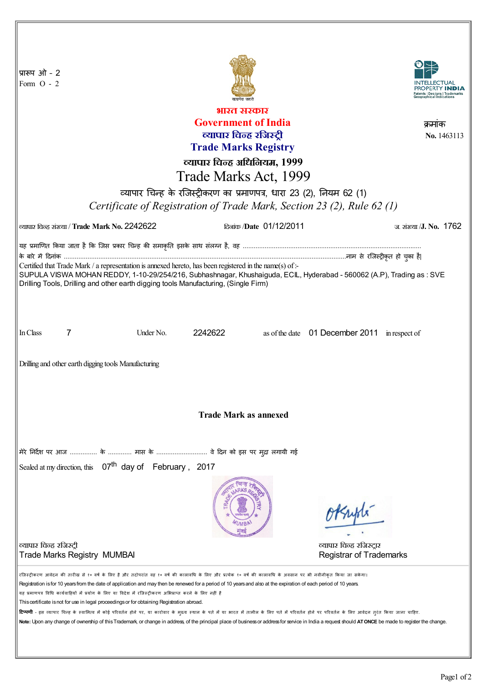| प्रारूप ओ - 2<br>Form $O - 2$                                                                                                                                                                                                                                                                                                                                                                                                                                                                                                                                                                                                                                                                                                                                                                                                                                                                                                              |                                 |                                                            |
|--------------------------------------------------------------------------------------------------------------------------------------------------------------------------------------------------------------------------------------------------------------------------------------------------------------------------------------------------------------------------------------------------------------------------------------------------------------------------------------------------------------------------------------------------------------------------------------------------------------------------------------------------------------------------------------------------------------------------------------------------------------------------------------------------------------------------------------------------------------------------------------------------------------------------------------------|---------------------------------|------------------------------------------------------------|
| भारत सरकार                                                                                                                                                                                                                                                                                                                                                                                                                                                                                                                                                                                                                                                                                                                                                                                                                                                                                                                                 |                                 |                                                            |
|                                                                                                                                                                                                                                                                                                                                                                                                                                                                                                                                                                                                                                                                                                                                                                                                                                                                                                                                            | <b>Government of India</b>      | कमाक                                                       |
|                                                                                                                                                                                                                                                                                                                                                                                                                                                                                                                                                                                                                                                                                                                                                                                                                                                                                                                                            | व्यापार चिन्ह रजिस्ट्री         | No. 1463113                                                |
| <b>Trade Marks Registry</b>                                                                                                                                                                                                                                                                                                                                                                                                                                                                                                                                                                                                                                                                                                                                                                                                                                                                                                                |                                 |                                                            |
|                                                                                                                                                                                                                                                                                                                                                                                                                                                                                                                                                                                                                                                                                                                                                                                                                                                                                                                                            | व्यापार चिन्ह अधिनियम, 1999     |                                                            |
| Trade Marks Act, 1999                                                                                                                                                                                                                                                                                                                                                                                                                                                                                                                                                                                                                                                                                                                                                                                                                                                                                                                      |                                 |                                                            |
| व्यापार चिन्ह के रजिस्ट्रीकरण का प्रमाणपत्र, धारा 23 (2), नियम 62 (1)                                                                                                                                                                                                                                                                                                                                                                                                                                                                                                                                                                                                                                                                                                                                                                                                                                                                      |                                 |                                                            |
|                                                                                                                                                                                                                                                                                                                                                                                                                                                                                                                                                                                                                                                                                                                                                                                                                                                                                                                                            |                                 |                                                            |
| Certificate of Registration of Trade Mark, Section 23 (2), Rule 62 (1)                                                                                                                                                                                                                                                                                                                                                                                                                                                                                                                                                                                                                                                                                                                                                                                                                                                                     |                                 |                                                            |
| व्यापार चिन्ह संख्या / Trade Mark No. 2242622                                                                                                                                                                                                                                                                                                                                                                                                                                                                                                                                                                                                                                                                                                                                                                                                                                                                                              | <u> दिलांक /Date 01/12/2011</u> | ज. संख्या / <b>J. No.</b> 1762                             |
| यह प्रमाणित किया जाता है कि जिस प्रकार चिन्ह की समाकृति इसके साथ संलग्न है, वह …………………………………………………………………………………                                                                                                                                                                                                                                                                                                                                                                                                                                                                                                                                                                                                                                                                                                                                                                                                                             |                                 |                                                            |
|                                                                                                                                                                                                                                                                                                                                                                                                                                                                                                                                                                                                                                                                                                                                                                                                                                                                                                                                            |                                 |                                                            |
| Certified that Trade Mark / a representation is annexed hereto, has been registered in the name(s) of :-<br>SUPULA VISWA MOHAN REDDY, 1-10-29/254/216, Subhashnagar, Khushaiguda, ECIL, Hyderabad - 560062 (A.P), Trading as: SVE                                                                                                                                                                                                                                                                                                                                                                                                                                                                                                                                                                                                                                                                                                          |                                 |                                                            |
| Drilling Tools, Drilling and other earth digging tools Manufacturing, (Single Firm)                                                                                                                                                                                                                                                                                                                                                                                                                                                                                                                                                                                                                                                                                                                                                                                                                                                        |                                 |                                                            |
| 7<br>In Class<br>Under No.                                                                                                                                                                                                                                                                                                                                                                                                                                                                                                                                                                                                                                                                                                                                                                                                                                                                                                                 | 2242622                         | as of the date 01 December 2011 in respect of              |
| Drilling and other earth digging tools Manufacturing                                                                                                                                                                                                                                                                                                                                                                                                                                                                                                                                                                                                                                                                                                                                                                                                                                                                                       |                                 |                                                            |
| <b>Trade Mark as annexed</b>                                                                                                                                                                                                                                                                                                                                                                                                                                                                                                                                                                                                                                                                                                                                                                                                                                                                                                               |                                 |                                                            |
| मेरे निर्देश पर आज  के  मास के  वे दिन को इस पर मुद्रा लगायी गई                                                                                                                                                                                                                                                                                                                                                                                                                                                                                                                                                                                                                                                                                                                                                                                                                                                                            |                                 |                                                            |
| Sealed at my direction, this 07 <sup>th</sup> day of February, 2017                                                                                                                                                                                                                                                                                                                                                                                                                                                                                                                                                                                                                                                                                                                                                                                                                                                                        |                                 |                                                            |
|                                                                                                                                                                                                                                                                                                                                                                                                                                                                                                                                                                                                                                                                                                                                                                                                                                                                                                                                            |                                 | 18 supli                                                   |
| व्यापार चिन्ह रजिस्ट्री<br><b>Trade Marks Registry MUMBAI</b>                                                                                                                                                                                                                                                                                                                                                                                                                                                                                                                                                                                                                                                                                                                                                                                                                                                                              |                                 | व्यापार चिन्ह रजिस्ट्रार<br><b>Registrar of Trademarks</b> |
| रजिस्ट्रीकरण आवेदन की तारीख से १० वर्ष के लिए है और तदोपरांत वह १० वर्ष की कालावधि के परि के एक बंग की कालावधि के अवसान पर भी नवीनीकृत किया जा सकेगा।<br>Registration is for 10 years from the date of application and may then be renewed for a period of 10 years and also at the expiration of each period of 10 years.<br>यह प्रमाणपत्र विधि कार्यवाहियों में प्रयोग के लिए या विदेश में रजिस्ट्रीकरण अभिप्राप्त करने के लिए नहीं है<br>This certificate is not for use in legal proceedings or for obtaining Registration abroad.<br><b>टिप्पणी</b> - इस व्यापार चिन्ह के स्वामित्व में कोई परिवर्तन होने पर, या कारोवार के मुख्य स्थान के पास के लिए पते में परिवर्तन होने पर परिवर्तन के लिए आवेदन तुरंत किया जाना चाहिए.<br>Note: Upon any change of ownership of this Trademark, or change in address, of the principal place of business or address for service in India a request should ATONCE be made to register the change. |                                 |                                                            |

II